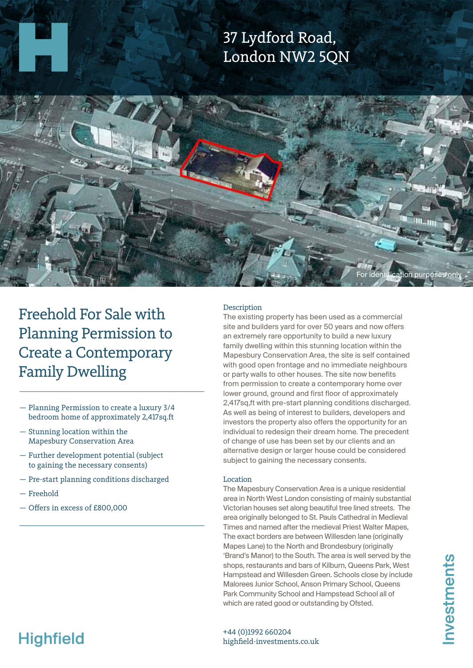## 37 Lydford Road, London NW2 5QN



Freehold For Sale with Planning Permission to Create a Contemporary Family Dwelling

- Planning Permission to create a luxury 3/4 bedroom home of approximately 2,417sq.ft
- Stunning location within the Mapesbury Conservation Area
- Further development potential (subject to gaining the necessary consents)
- Pre-start planning conditions discharged
- Freehold
- Offers in excess of £800,000

### **Description**

The existing property has been used as a commercial site and builders yard for over 50 years and now offers an extremely rare opportunity to build a new luxury family dwelling within this stunning location within the Mapesbury Conservation Area, the site is self contained with good open frontage and no immediate neighbours or party walls to other houses. The site now benefits from permission to create a contemporary home over lower ground, ground and first floor of approximately 2,417sq,ft with pre-start planning conditions discharged. As well as being of interest to builders, developers and investors the property also offers the opportunity for an individual to redesign their dream home. The precedent of change of use has been set by our clients and an alternative design or larger house could be considered subject to gaining the necessary consents.

#### Location

The Mapesbury Conservation Area is a unique residential area in North West London consisting of mainly substantial Victorian houses set along beautiful tree lined streets. The area originally belonged to St. Pauls Cathedral in Medieval Times and named after the medieval Priest Walter Mapes, The exact borders are between Willesden lane (originally Mapes Lane) to the North and Brondesbury (originally 'Brand's Manor) to the South. The area is well served by the shops, restaurants and bars of Kilburn, Queens Park, West Hampstead and Willesden Green. Schools close by include Malorees Junior School, Anson Primary School, Queens Park Community School and Hampstead School all of which are rated good or outstanding by Ofsted.

# **Highfield**

+44 (0)1992 660204 highfield-investments.co.uk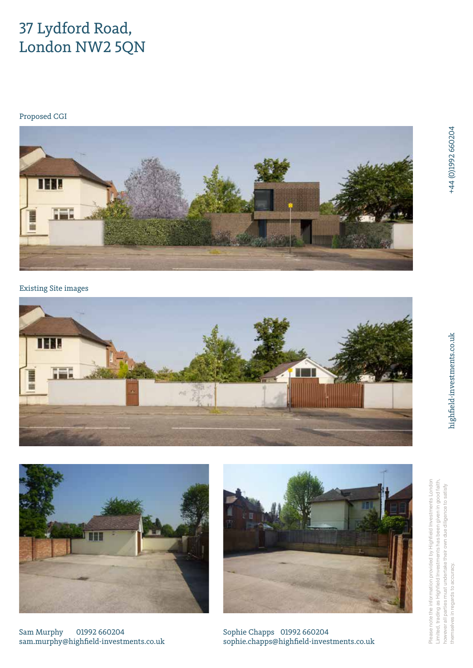### 37 Lydford Road, London NW2 5QN

Proposed CGI



Existing Site images





Sam Murphy 01992 660204 sam.murphy@highfield-investments.co.uk



Sophie Chapps 01992 660204 sophie.chapps@highfield-investments.co.uk

highfield-investments.co.uk